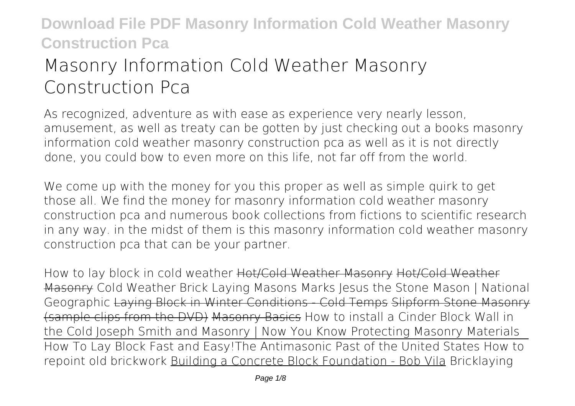# **Masonry Information Cold Weather Masonry Construction Pca**

As recognized, adventure as with ease as experience very nearly lesson, amusement, as well as treaty can be gotten by just checking out a books **masonry information cold weather masonry construction pca** as well as it is not directly done, you could bow to even more on this life, not far off from the world.

We come up with the money for you this proper as well as simple quirk to get those all. We find the money for masonry information cold weather masonry construction pca and numerous book collections from fictions to scientific research in any way. in the midst of them is this masonry information cold weather masonry construction pca that can be your partner.

How to lay block in cold weather Hot/Cold Weather Masonry Hot/Cold Weather Masonry **Cold Weather Brick Laying Masons Marks** *Jesus the Stone Mason | National Geographic* Laying Block in Winter Conditions - Cold Temps Slipform Stone Masonry (sample clips from the DVD) Masonry Basics How to install a Cinder Block Wall in the Cold **Joseph Smith and Masonry | Now You Know Protecting Masonry Materials** How To Lay Block Fast and Easy!*The Antimasonic Past of the United States* **How to repoint old brickwork** Building a Concrete Block Foundation - Bob Vila *Bricklaying*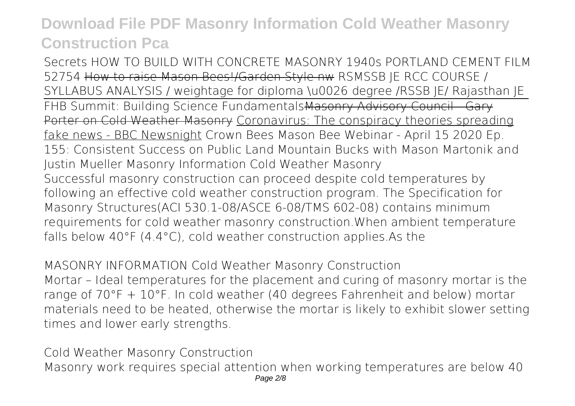*Secrets HOW TO BUILD WITH CONCRETE MASONRY 1940s PORTLAND CEMENT FILM 52754* How to raise Mason Bees!/Garden Style nw *RSMSSB JE RCC COURSE / SYLLABUS ANALYSIS / weightage for diploma \u0026 degree /RSSB JE/ Rajasthan JE* FHB Summit: Building Science Fundamentals Masonry Advisory Council Gary Porter on Cold Weather Masonry Coronavirus: The conspiracy theories spreading fake news - BBC Newsnight *Crown Bees Mason Bee Webinar - April 15 2020* **Ep. 155: Consistent Success on Public Land Mountain Bucks with Mason Martonik and Justin Mueller Masonry Information Cold Weather Masonry** Successful masonry construction can proceed despite cold temperatures by following an effective cold weather construction program. The Specification for Masonry Structures(ACI 530.1-08/ASCE 6-08/TMS 602-08) contains minimum requirements for cold weather masonry construction.When ambient temperature falls below 40°F (4.4°C), cold weather construction applies.As the

**MASONRY INFORMATION Cold Weather Masonry Construction** Mortar – Ideal temperatures for the placement and curing of masonry mortar is the range of 70°F + 10°F. In cold weather (40 degrees Fahrenheit and below) mortar materials need to be heated, otherwise the mortar is likely to exhibit slower setting times and lower early strengths.

**Cold Weather Masonry Construction** Masonry work requires special attention when working temperatures are below 40 Page 2/8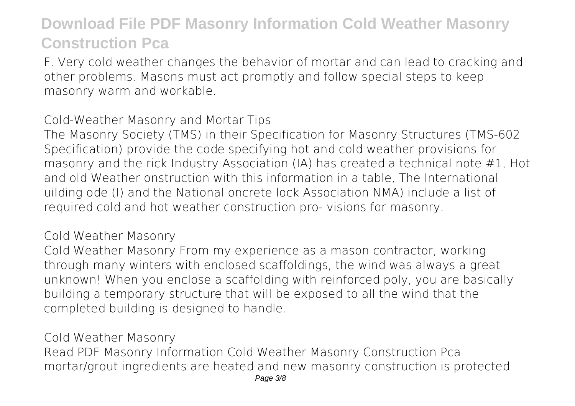F. Very cold weather changes the behavior of mortar and can lead to cracking and other problems. Masons must act promptly and follow special steps to keep masonry warm and workable.

**Cold-Weather Masonry and Mortar Tips**

The Masonry Society (TMS) in their Specification for Masonry Structures (TMS-602 Specification) provide the code specifying hot and cold weather provisions for masonry and the rick Industry Association (IA) has created a technical note #1, Hot and old Weather onstruction with this information in a table, The International uilding ode (I) and the National oncrete lock Association NMA) include a list of required cold and hot weather construction pro- visions for masonry.

### **Cold Weather Masonry**

Cold Weather Masonry From my experience as a mason contractor, working through many winters with enclosed scaffoldings, the wind was always a great unknown! When you enclose a scaffolding with reinforced poly, you are basically building a temporary structure that will be exposed to all the wind that the completed building is designed to handle.

### **Cold Weather Masonry**

Read PDF Masonry Information Cold Weather Masonry Construction Pca mortar/grout ingredients are heated and new masonry construction is protected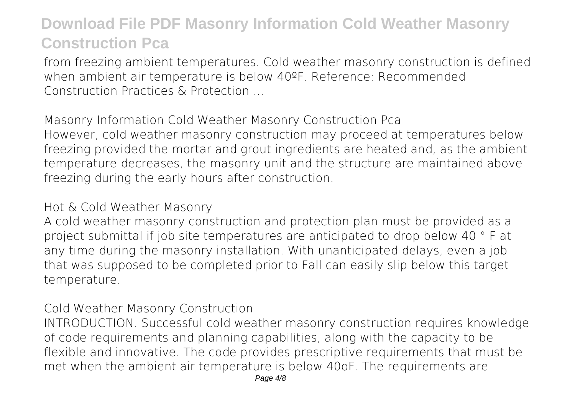from freezing ambient temperatures. Cold weather masonry construction is defined when ambient air temperature is below 40ºF. Reference: Recommended Construction Practices & Protection ...

**Masonry Information Cold Weather Masonry Construction Pca** However, cold weather masonry construction may proceed at temperatures below freezing provided the mortar and grout ingredients are heated and, as the ambient temperature decreases, the masonry unit and the structure are maintained above freezing during the early hours after construction.

#### **Hot & Cold Weather Masonry**

A cold weather masonry construction and protection plan must be provided as a project submittal if job site temperatures are anticipated to drop below 40 ° F at any time during the masonry installation. With unanticipated delays, even a job that was supposed to be completed prior to Fall can easily slip below this target temperature.

### **Cold Weather Masonry Construction**

INTRODUCTION. Successful cold weather masonry construction requires knowledge of code requirements and planning capabilities, along with the capacity to be flexible and innovative. The code provides prescriptive requirements that must be met when the ambient air temperature is below 40oF. The requirements are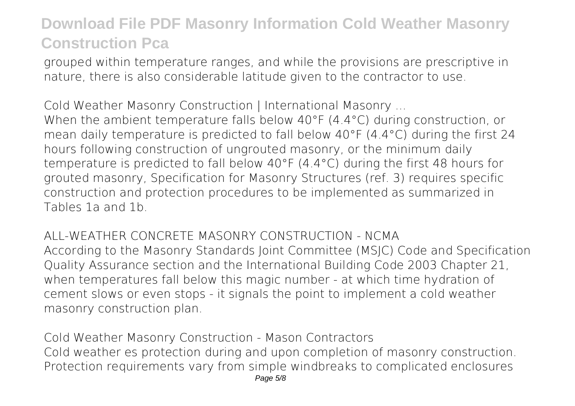grouped within temperature ranges, and while the provisions are prescriptive in nature, there is also considerable latitude given to the contractor to use.

**Cold Weather Masonry Construction | International Masonry ...** When the ambient temperature falls below 40°F (4.4°C) during construction, or mean daily temperature is predicted to fall below 40°F (4.4°C) during the first 24 hours following construction of ungrouted masonry, or the minimum daily temperature is predicted to fall below 40°F (4.4°C) during the first 48 hours for grouted masonry, Specification for Masonry Structures (ref. 3) requires specific construction and protection procedures to be implemented as summarized in Tables 1a and 1b.

**ALL-WEATHER CONCRETE MASONRY CONSTRUCTION - NCMA** According to the Masonry Standards Joint Committee (MSJC) Code and Specification Quality Assurance section and the International Building Code 2003 Chapter 21, when temperatures fall below this magic number - at which time hydration of cement slows or even stops - it signals the point to implement a cold weather masonry construction plan.

**Cold Weather Masonry Construction - Mason Contractors** Cold weather es protection during and upon completion of masonry construction. Protection requirements vary from simple windbreaks to complicated enclosures Page 5/8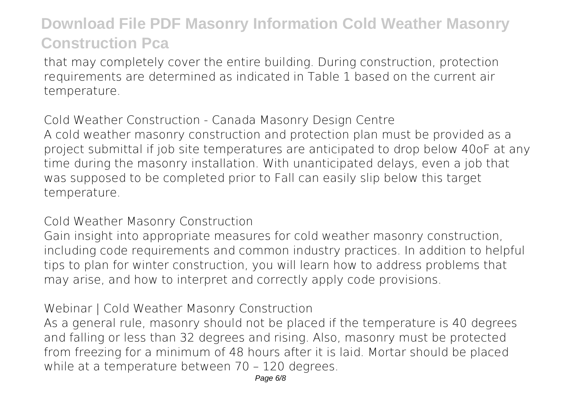that may completely cover the entire building. During construction, protection requirements are determined as indicated in Table 1 based on the current air temperature.

**Cold Weather Construction - Canada Masonry Design Centre** A cold weather masonry construction and protection plan must be provided as a project submittal if job site temperatures are anticipated to drop below 40oF at any time during the masonry installation. With unanticipated delays, even a job that was supposed to be completed prior to Fall can easily slip below this target temperature.

**Cold Weather Masonry Construction**

Gain insight into appropriate measures for cold weather masonry construction, including code requirements and common industry practices. In addition to helpful tips to plan for winter construction, you will learn how to address problems that may arise, and how to interpret and correctly apply code provisions.

### **Webinar | Cold Weather Masonry Construction**

As a general rule, masonry should not be placed if the temperature is 40 degrees and falling or less than 32 degrees and rising. Also, masonry must be protected from freezing for a minimum of 48 hours after it is laid. Mortar should be placed while at a temperature between 70 – 120 degrees.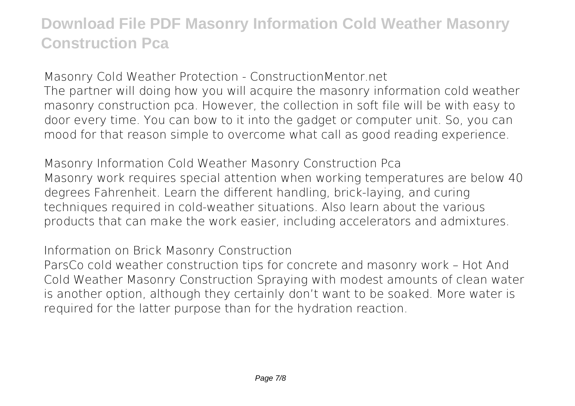**Masonry Cold Weather Protection - ConstructionMentor.net** The partner will doing how you will acquire the masonry information cold weather masonry construction pca. However, the collection in soft file will be with easy to door every time. You can bow to it into the gadget or computer unit. So, you can mood for that reason simple to overcome what call as good reading experience.

**Masonry Information Cold Weather Masonry Construction Pca** Masonry work requires special attention when working temperatures are below 40 degrees Fahrenheit. Learn the different handling, brick-laying, and curing techniques required in cold-weather situations. Also learn about the various products that can make the work easier, including accelerators and admixtures.

**Information on Brick Masonry Construction**

ParsCo cold weather construction tips for concrete and masonry work – Hot And Cold Weather Masonry Construction Spraying with modest amounts of clean water is another option, although they certainly don't want to be soaked. More water is required for the latter purpose than for the hydration reaction.